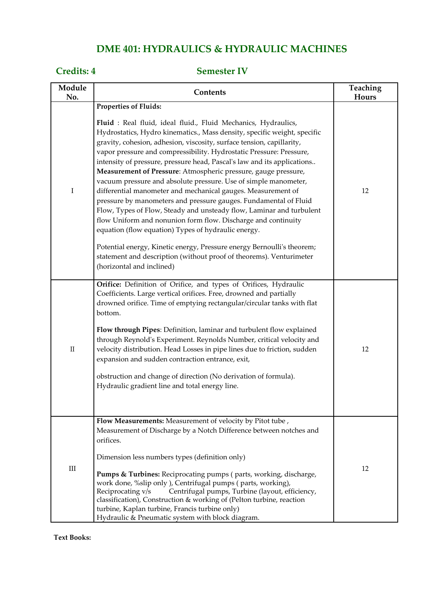# **DME 401: HYDRAULICS & HYDRAULIC MACHINES**

### **Credits: 4 Semester IV**

| Module<br>No. | Contents                                                                                                                                                                                                                                                                                                                                                                                                                                                                                                                                                                                                                                                                                                                                                                                                                                                                                                                                                                                                                                              | Teaching<br>Hours |
|---------------|-------------------------------------------------------------------------------------------------------------------------------------------------------------------------------------------------------------------------------------------------------------------------------------------------------------------------------------------------------------------------------------------------------------------------------------------------------------------------------------------------------------------------------------------------------------------------------------------------------------------------------------------------------------------------------------------------------------------------------------------------------------------------------------------------------------------------------------------------------------------------------------------------------------------------------------------------------------------------------------------------------------------------------------------------------|-------------------|
| $\mathbf I$   | Properties of Fluids:<br>Fluid : Real fluid, ideal fluid., Fluid Mechanics, Hydraulics,<br>Hydrostatics, Hydro kinematics., Mass density, specific weight, specific<br>gravity, cohesion, adhesion, viscosity, surface tension, capillarity,<br>vapor pressure and compressibility. Hydrostatic Pressure: Pressure,<br>intensity of pressure, pressure head, Pascal's law and its applications<br>Measurement of Pressure: Atmospheric pressure, gauge pressure,<br>vacuum pressure and absolute pressure. Use of simple manometer,<br>differential manometer and mechanical gauges. Measurement of<br>pressure by manometers and pressure gauges. Fundamental of Fluid<br>Flow, Types of Flow, Steady and unsteady flow, Laminar and turbulent<br>flow Uniform and nonunion form flow. Discharge and continuity<br>equation (flow equation) Types of hydraulic energy.<br>Potential energy, Kinetic energy, Pressure energy Bernoulli's theorem;<br>statement and description (without proof of theorems). Venturimeter<br>(horizontal and inclined) | 12                |
| $\rm II$      | Orifice: Definition of Orifice, and types of Orifices, Hydraulic<br>Coefficients. Large vertical orifices. Free, drowned and partially<br>drowned orifice. Time of emptying rectangular/circular tanks with flat<br>bottom.<br>Flow through Pipes: Definition, laminar and turbulent flow explained<br>through Reynold's Experiment. Reynolds Number, critical velocity and<br>velocity distribution. Head Losses in pipe lines due to friction, sudden<br>expansion and sudden contraction entrance, exit,<br>obstruction and change of direction (No derivation of formula).<br>Hydraulic gradient line and total energy line.                                                                                                                                                                                                                                                                                                                                                                                                                      | 12                |
| $\rm III$     | Flow Measurements: Measurement of velocity by Pitot tube,<br>Measurement of Discharge by a Notch Difference between notches and<br>orifices.<br>Dimension less numbers types (definition only)<br><b>Pumps &amp; Turbines:</b> Reciprocating pumps (parts, working, discharge,<br>work done, %slip only ), Centrifugal pumps (parts, working),<br>Centrifugal pumps, Turbine (layout, efficiency,<br>Reciprocating v/s<br>classification), Construction & working of (Pelton turbine, reaction<br>turbine, Kaplan turbine, Francis turbine only)<br>Hydraulic & Pneumatic system with block diagram.                                                                                                                                                                                                                                                                                                                                                                                                                                                  | 12                |

**Text Books:**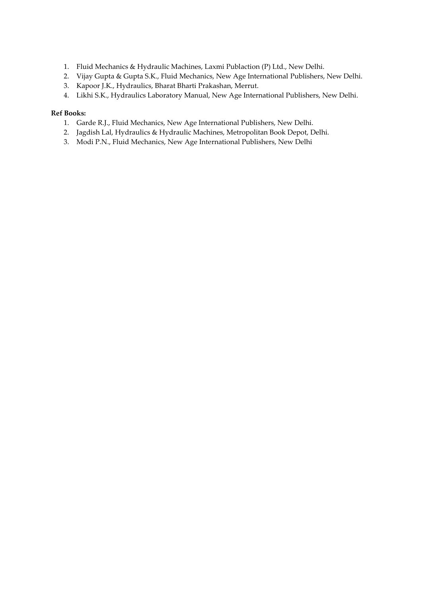- 1. Fluid Mechanics & Hydraulic Machines, Laxmi Publaction (P) Ltd., New Delhi.
- 2. Vijay Gupta & Gupta S.K., Fluid Mechanics, New Age International Publishers, New Delhi.
- 3. Kapoor J.K., Hydraulics, Bharat Bharti Prakashan, Merrut.
- 4. Likhi S.K., Hydraulics Laboratory Manual, New Age International Publishers, New Delhi.

#### **Ref Books:**

- 1. Garde R.J., Fluid Mechanics, New Age International Publishers, New Delhi.
- 2. Jagdish Lal, Hydraulics & Hydraulic Machines, Metropolitan Book Depot, Delhi.
- 3. Modi P.N., Fluid Mechanics, New Age International Publishers, New Delhi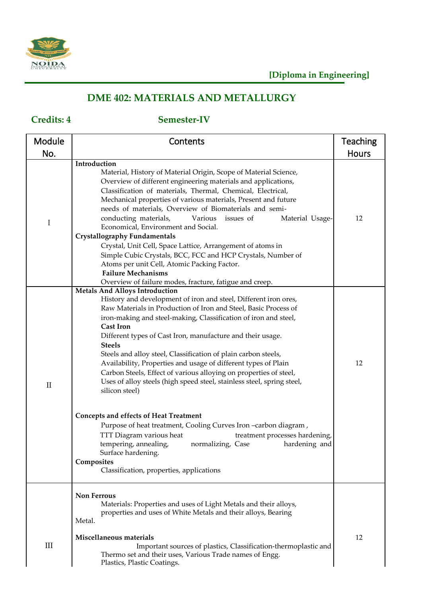

# **DME 402: MATERIALS AND METALLURGY**

## **Credits: 4 Semester-IV**

| Module       | Contents                                                                                                                                                                                                                                                                                                                                                                                                                                                                                                                                                                                                                                                                                                                                                                                                                                                                                                                                                                                | <b>Teaching</b> |
|--------------|-----------------------------------------------------------------------------------------------------------------------------------------------------------------------------------------------------------------------------------------------------------------------------------------------------------------------------------------------------------------------------------------------------------------------------------------------------------------------------------------------------------------------------------------------------------------------------------------------------------------------------------------------------------------------------------------------------------------------------------------------------------------------------------------------------------------------------------------------------------------------------------------------------------------------------------------------------------------------------------------|-----------------|
| No.          |                                                                                                                                                                                                                                                                                                                                                                                                                                                                                                                                                                                                                                                                                                                                                                                                                                                                                                                                                                                         | <b>Hours</b>    |
| $\mathbf I$  | Introduction<br>Material, History of Material Origin, Scope of Material Science,<br>Overview of different engineering materials and applications,<br>Classification of materials, Thermal, Chemical, Electrical,<br>Mechanical properties of various materials, Present and future<br>needs of materials, Overview of Biomaterials and semi-<br>conducting materials,<br>Various<br>issues of<br>Material Usage-<br>Economical, Environment and Social.<br><b>Crystallography Fundamentals</b><br>Crystal, Unit Cell, Space Lattice, Arrangement of atoms in<br>Simple Cubic Crystals, BCC, FCC and HCP Crystals, Number of<br>Atoms per unit Cell, Atomic Packing Factor.<br><b>Failure Mechanisms</b><br>Overview of failure modes, fracture, fatigue and creep.                                                                                                                                                                                                                      | 12              |
| $\mathbf{I}$ | <b>Metals And Alloys Introduction</b><br>History and development of iron and steel, Different iron ores,<br>Raw Materials in Production of Iron and Steel, Basic Process of<br>iron-making and steel-making, Classification of iron and steel,<br><b>Cast Iron</b><br>Different types of Cast Iron, manufacture and their usage.<br><b>Steels</b><br>Steels and alloy steel, Classification of plain carbon steels,<br>Availability, Properties and usage of different types of Plain<br>Carbon Steels, Effect of various alloying on properties of steel,<br>Uses of alloy steels (high speed steel, stainless steel, spring steel,<br>silicon steel)<br><b>Concepts and effects of Heat Treatment</b><br>Purpose of heat treatment, Cooling Curves Iron -carbon diagram,<br>TTT Diagram various heat<br>treatment processes hardening,<br>tempering, annealing,<br>normalizing, Case<br>hardening and<br>Surface hardening.<br>Composites<br>Classification, properties, applications | 12              |
| III          | <b>Non Ferrous</b><br>Materials: Properties and uses of Light Metals and their alloys,<br>properties and uses of White Metals and their alloys, Bearing<br>Metal.<br>Miscellaneous materials<br>Important sources of plastics, Classification-thermoplastic and<br>Thermo set and their uses, Various Trade names of Engg.<br>Plastics, Plastic Coatings.                                                                                                                                                                                                                                                                                                                                                                                                                                                                                                                                                                                                                               | 12              |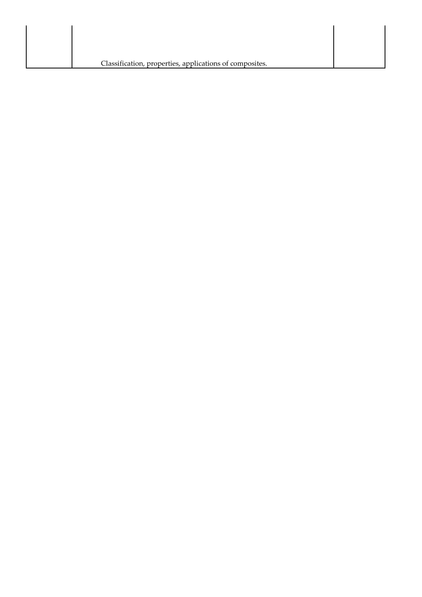| Classification, properties, applications of composites. |  |
|---------------------------------------------------------|--|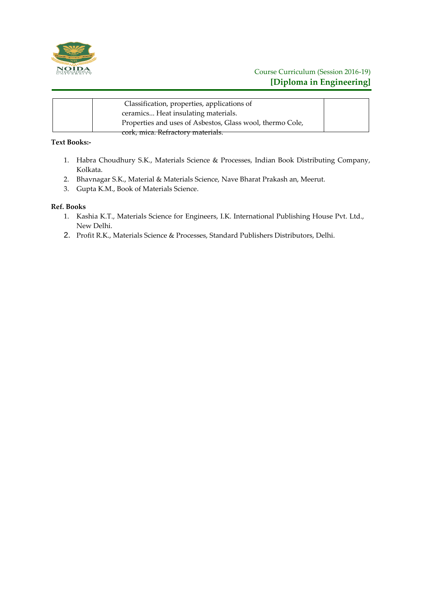

| Classification, properties, applications of               |  |
|-----------------------------------------------------------|--|
| ceramics Heat insulating materials.                       |  |
| Properties and uses of Asbestos, Glass wool, thermo Cole, |  |
| cork, mica. Refractory materials.                         |  |

### **Text Books:-**

- 1. Habra Choudhury S.K., Materials Science & Processes, Indian Book Distributing Company, Kolkata.
- 2. Bhavnagar S.K., Material & Materials Science, Nave Bharat Prakash an, Meerut.
- 3. Gupta K.M., Book of Materials Science.

#### **Ref. Books**

- 1. Kashia K.T., Materials Science for Engineers, I.K. International Publishing House Pvt. Ltd., New Delhi.
- 2. Profit R.K., Materials Science & Processes, Standard Publishers Distributors, Delhi.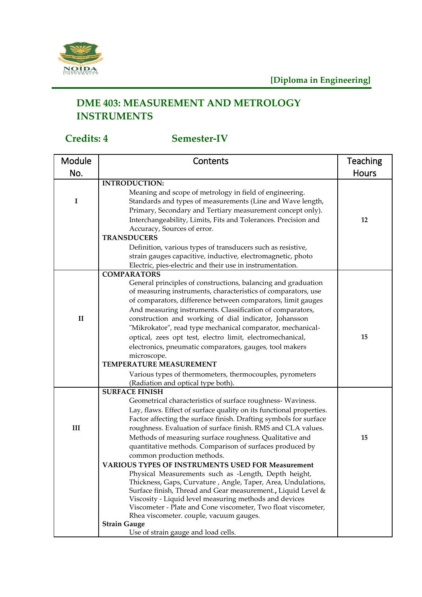

# **DME 403: MEASUREMENT AND METROLOGY INSTRUMENTS**

# **Credits: 4 Semester-IV**

| Module       | Contents                                                                                                                                                                                                                                                                                                                                                                                       | Teaching     |
|--------------|------------------------------------------------------------------------------------------------------------------------------------------------------------------------------------------------------------------------------------------------------------------------------------------------------------------------------------------------------------------------------------------------|--------------|
| No.          |                                                                                                                                                                                                                                                                                                                                                                                                | <b>Hours</b> |
|              | <b>INTRODUCTION:</b>                                                                                                                                                                                                                                                                                                                                                                           |              |
| I            | Meaning and scope of metrology in field of engineering.<br>Standards and types of measurements (Line and Wave length,<br>Primary, Secondary and Tertiary measurement concept only).<br>Interchangeability, Limits, Fits and Tolerances. Precision and<br>Accuracy, Sources of error.<br><b>TRANSDUCERS</b>                                                                                     | 12           |
|              | Definition, various types of transducers such as resistive,                                                                                                                                                                                                                                                                                                                                    |              |
|              | strain gauges capacitive, inductive, electromagnetic, photo<br>Electric, pies-electric and their use in instrumentation.                                                                                                                                                                                                                                                                       |              |
|              | <b>COMPARATORS</b>                                                                                                                                                                                                                                                                                                                                                                             |              |
|              | General principles of constructions, balancing and graduation<br>of measuring instruments, characteristics of comparators, use<br>of comparators, difference between comparators, limit gauges<br>And measuring instruments. Classification of comparators,                                                                                                                                    |              |
| $\mathbf{I}$ | construction and working of dial indicator, Johansson                                                                                                                                                                                                                                                                                                                                          |              |
|              | "Mikrokator", read type mechanical comparator, mechanical-                                                                                                                                                                                                                                                                                                                                     |              |
|              | optical, zees opt test, electro limit, electromechanical,                                                                                                                                                                                                                                                                                                                                      | 15           |
|              | electronics, pneumatic comparators, gauges, tool makers                                                                                                                                                                                                                                                                                                                                        |              |
|              | microscope.<br>TEMPERATURE MEASUREMENT                                                                                                                                                                                                                                                                                                                                                         |              |
|              | Various types of thermometers, thermocouples, pyrometers                                                                                                                                                                                                                                                                                                                                       |              |
|              | (Radiation and optical type both).                                                                                                                                                                                                                                                                                                                                                             |              |
|              | <b>SURFACE FINISH</b>                                                                                                                                                                                                                                                                                                                                                                          |              |
| III          | Geometrical characteristics of surface roughness- Waviness.<br>Lay, flaws. Effect of surface quality on its functional properties.<br>Factor affecting the surface finish. Drafting symbols for surface<br>roughness. Evaluation of surface finish. RMS and CLA values.<br>Methods of measuring surface roughness. Qualitative and<br>quantitative methods. Comparison of surfaces produced by | 15           |
|              | common production methods.                                                                                                                                                                                                                                                                                                                                                                     |              |
|              | <b>VARIOUS TYPES OF INSTRUMENTS USED FOR Measurement</b><br>Physical Measurements such as -Length, Depth height,                                                                                                                                                                                                                                                                               |              |
|              | Thickness, Gaps, Curvature, Angle, Taper, Area, Undulations,<br>Surface finish, Thread and Gear measurement., Liquid Level &                                                                                                                                                                                                                                                                   |              |
|              | Viscosity - Liquid level measuring methods and devices                                                                                                                                                                                                                                                                                                                                         |              |
|              | Viscometer - Plate and Cone viscometer, Two float viscometer,                                                                                                                                                                                                                                                                                                                                  |              |
|              | Rhea viscometer. couple, vacuum gauges.                                                                                                                                                                                                                                                                                                                                                        |              |
|              | <b>Strain Gauge</b>                                                                                                                                                                                                                                                                                                                                                                            |              |
|              | Use of strain gauge and load cells.                                                                                                                                                                                                                                                                                                                                                            |              |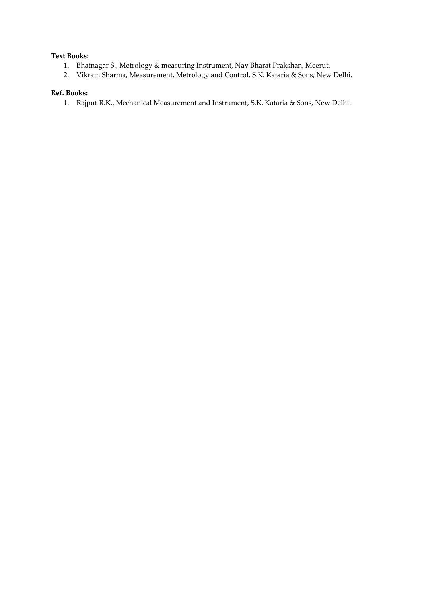#### **Text Books:**

- 1. Bhatnagar S., Metrology & measuring Instrument, Nav Bharat Prakshan, Meerut.
- 2. Vikram Sharma, Measurement, Metrology and Control, S.K. Kataria & Sons, New Delhi.

### **Ref. Books:**

1. Rajput R.K., Mechanical Measurement and Instrument, S.K. Kataria & Sons, New Delhi.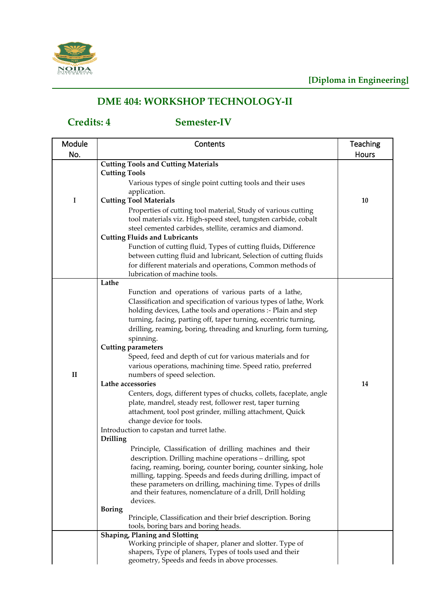

# **DME 404: WORKSHOP TECHNOLOGY-II**

## **Credits: 4 Semester-IV**

| Module       | Contents                                                                                | <b>Teaching</b> |
|--------------|-----------------------------------------------------------------------------------------|-----------------|
| No.          |                                                                                         | <b>Hours</b>    |
|              | <b>Cutting Tools and Cutting Materials</b>                                              |                 |
|              | <b>Cutting Tools</b>                                                                    |                 |
|              | Various types of single point cutting tools and their uses                              |                 |
|              | application.                                                                            |                 |
| $\mathbf I$  | <b>Cutting Tool Materials</b>                                                           | 10              |
|              | Properties of cutting tool material, Study of various cutting                           |                 |
|              | tool materials viz. High-speed steel, tungsten carbide, cobalt                          |                 |
|              | steel cemented carbides, stellite, ceramics and diamond.                                |                 |
|              | <b>Cutting Fluids and Lubricants</b>                                                    |                 |
|              | Function of cutting fluid, Types of cutting fluids, Difference                          |                 |
|              | between cutting fluid and lubricant, Selection of cutting fluids                        |                 |
|              | for different materials and operations, Common methods of                               |                 |
|              | lubrication of machine tools.                                                           |                 |
|              | Lathe                                                                                   |                 |
|              | Function and operations of various parts of a lathe,                                    |                 |
|              | Classification and specification of various types of lathe, Work                        |                 |
|              | holding devices, Lathe tools and operations :- Plain and step                           |                 |
|              | turning, facing, parting off, taper turning, eccentric turning,                         |                 |
|              | drilling, reaming, boring, threading and knurling, form turning,                        |                 |
|              | spinning.                                                                               |                 |
|              | <b>Cutting parameters</b><br>Speed, feed and depth of cut for various materials and for |                 |
|              | various operations, machining time. Speed ratio, preferred                              |                 |
| $\mathbf{I}$ | numbers of speed selection.                                                             |                 |
|              | Lathe accessories                                                                       | 14              |
|              | Centers, dogs, different types of chucks, collets, faceplate, angle                     |                 |
|              | plate, mandrel, steady rest, follower rest, taper turning                               |                 |
|              | attachment, tool post grinder, milling attachment, Quick                                |                 |
|              | change device for tools.                                                                |                 |
|              | Introduction to capstan and turret lathe.                                               |                 |
|              | <b>Drilling</b>                                                                         |                 |
|              | Principle, Classification of drilling machines and their                                |                 |
|              | description. Drilling machine operations - drilling, spot                               |                 |
|              | facing, reaming, boring, counter boring, counter sinking, hole                          |                 |
|              | milling, tapping. Speeds and feeds during drilling, impact of                           |                 |
|              | these parameters on drilling, machining time. Types of drills                           |                 |
|              | and their features, nomenclature of a drill, Drill holding                              |                 |
|              | devices.<br><b>Boring</b>                                                               |                 |
|              | Principle, Classification and their brief description. Boring                           |                 |
|              | tools, boring bars and boring heads.                                                    |                 |
|              | <b>Shaping, Planing and Slotting</b>                                                    |                 |
|              | Working principle of shaper, planer and slotter. Type of                                |                 |
|              | shapers, Type of planers, Types of tools used and their                                 |                 |
|              | geometry, Speeds and feeds in above processes.                                          |                 |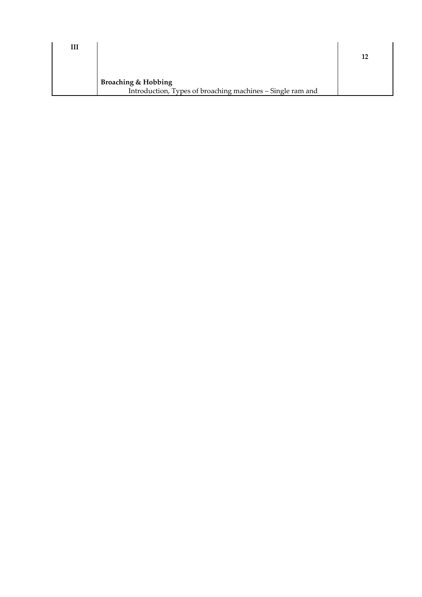| Ш |                                                            |    |
|---|------------------------------------------------------------|----|
|   |                                                            | 12 |
|   |                                                            |    |
|   | <b>Broaching &amp; Hobbing</b>                             |    |
|   | Introduction, Types of broaching machines - Single ram and |    |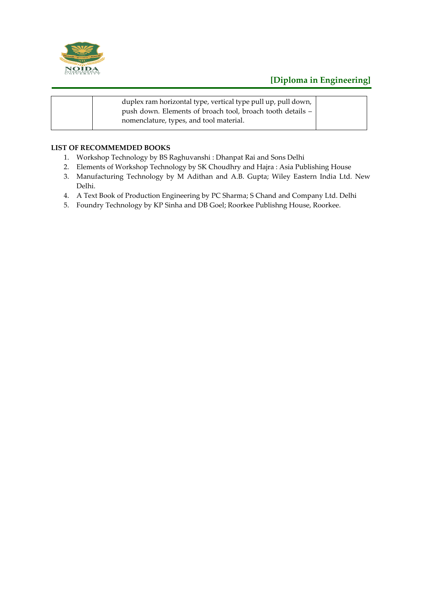

## **[Diploma in Engineering]**

| duplex ram horizontal type, vertical type pull up, pull down,<br>push down. Elements of broach tool, broach tooth details -<br>nomenclature, types, and tool material. |  |
|------------------------------------------------------------------------------------------------------------------------------------------------------------------------|--|
|------------------------------------------------------------------------------------------------------------------------------------------------------------------------|--|

#### **LIST OF RECOMMEMDED BOOKS**

- 1. Workshop Technology by BS Raghuvanshi : Dhanpat Rai and Sons Delhi
- 2. Elements of Workshop Technology by SK Choudhry and Hajra : Asia Publishing House
- 3. Manufacturing Technology by M Adithan and A.B. Gupta; Wiley Eastern India Ltd. New Delhi.
- 4. A Text Book of Production Engineering by PC Sharma; S Chand and Company Ltd. Delhi
- 5. Foundry Technology by KP Sinha and DB Goel; Roorkee Publishng House, Roorkee.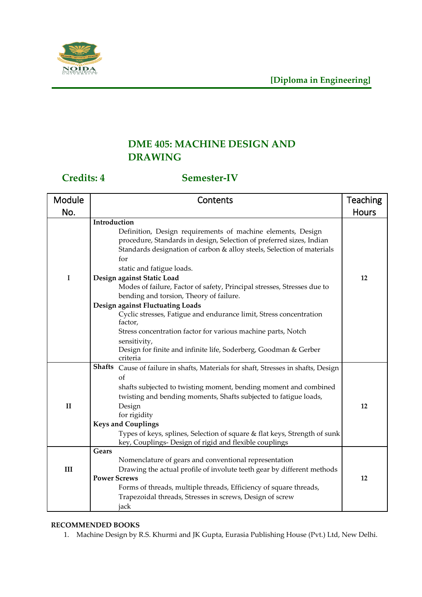

# **DME 405: MACHINE DESIGN AND DRAWING**

## **Credits: 4 Semester-IV**

| Module       | Contents                                                                                                                                                                                                             | <b>Teaching</b> |
|--------------|----------------------------------------------------------------------------------------------------------------------------------------------------------------------------------------------------------------------|-----------------|
| No.          |                                                                                                                                                                                                                      | <b>Hours</b>    |
|              | Introduction                                                                                                                                                                                                         |                 |
|              | Definition, Design requirements of machine elements, Design<br>procedure, Standards in design, Selection of preferred sizes, Indian<br>Standards designation of carbon & alloy steels, Selection of materials<br>for |                 |
|              | static and fatigue loads.                                                                                                                                                                                            |                 |
| I            | Design against Static Load<br>Modes of failure, Factor of safety, Principal stresses, Stresses due to<br>bending and torsion, Theory of failure.                                                                     | 12              |
|              | Design against Fluctuating Loads                                                                                                                                                                                     |                 |
|              | Cyclic stresses, Fatigue and endurance limit, Stress concentration<br>factor,                                                                                                                                        |                 |
|              | Stress concentration factor for various machine parts, Notch                                                                                                                                                         |                 |
|              | sensitivity,                                                                                                                                                                                                         |                 |
|              | Design for finite and infinite life, Soderberg, Goodman & Gerber                                                                                                                                                     |                 |
|              | criteria                                                                                                                                                                                                             |                 |
|              | Shafts Cause of failure in shafts, Materials for shaft, Stresses in shafts, Design                                                                                                                                   |                 |
|              | of                                                                                                                                                                                                                   |                 |
|              | shafts subjected to twisting moment, bending moment and combined                                                                                                                                                     |                 |
|              | twisting and bending moments, Shafts subjected to fatigue loads,                                                                                                                                                     |                 |
| $\mathbf{I}$ | Design                                                                                                                                                                                                               | 12              |
|              | for rigidity                                                                                                                                                                                                         |                 |
|              | <b>Keys and Couplings</b>                                                                                                                                                                                            |                 |
|              | Types of keys, splines, Selection of square & flat keys, Strength of sunk<br>key, Couplings- Design of rigid and flexible couplings                                                                                  |                 |
|              | Gears                                                                                                                                                                                                                |                 |
|              | Nomenclature of gears and conventional representation                                                                                                                                                                |                 |
| $\rm III$    | Drawing the actual profile of involute teeth gear by different methods                                                                                                                                               |                 |
|              | <b>Power Screws</b>                                                                                                                                                                                                  | 12              |
|              | Forms of threads, multiple threads, Efficiency of square threads,                                                                                                                                                    |                 |
|              | Trapezoidal threads, Stresses in screws, Design of screw                                                                                                                                                             |                 |
|              | jack                                                                                                                                                                                                                 |                 |

### **RECOMMENDED BOOKS**

1. Machine Design by R.S. Khurmi and JK Gupta, Eurasia Publishing House (Pvt.) Ltd, New Delhi.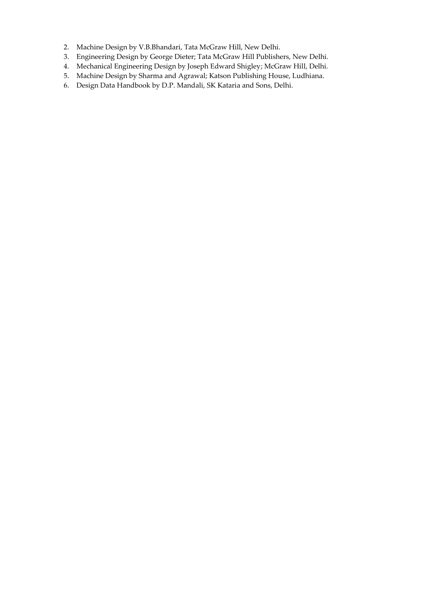- 2. Machine Design by V.B.Bhandari, Tata McGraw Hill, New Delhi.
- 3. Engineering Design by George Dieter; Tata McGraw Hill Publishers, New Delhi.
- 4. Mechanical Engineering Design by Joseph Edward Shigley; McGraw Hill, Delhi.
- 5. Machine Design by Sharma and Agrawal; Katson Publishing House, Ludhiana.
- 6. Design Data Handbook by D.P. Mandali, SK Kataria and Sons, Delhi.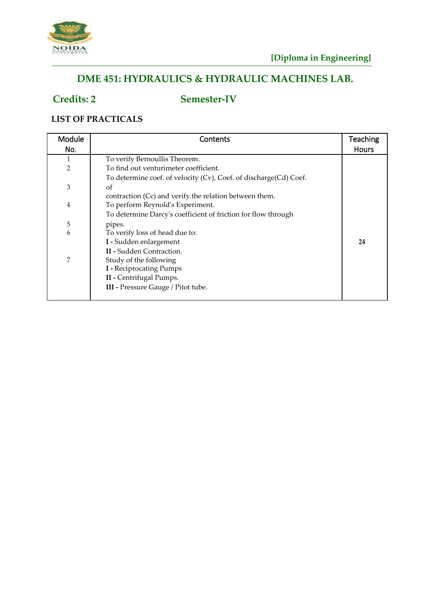

# **DME 451: HYDRAULICS & HYDRAULIC MACHINES LAB.**

# **Credits: 2 Semester-IV**

### **LIST OF PRACTICALS**

| Module         | Contents                                                          | <b>Teaching</b> |
|----------------|-------------------------------------------------------------------|-----------------|
| No.            |                                                                   | Hours           |
| 1              | To verify Bernoullis Theorem.                                     |                 |
| $\overline{2}$ | To find out venturimeter coefficient.                             |                 |
|                | To determine coef. of velocity (Cv), Coef. of discharge(Cd) Coef. |                 |
| 3              | οf                                                                |                 |
|                | contraction (Cc) and verify the relation between them.            |                 |
| $\overline{4}$ | To perform Reynold's Experiment.                                  |                 |
|                | To determine Darcy's coefficient of friction for flow through     |                 |
| 5              | pipes.                                                            |                 |
| 6              | To verify loss of head due to:                                    |                 |
|                | I - Sudden enlargement                                            | 24              |
|                | <b>II</b> - Sudden Contraction.                                   |                 |
| $\overline{7}$ | Study of the following                                            |                 |
|                | <b>I</b> - Reciprocating Pumps                                    |                 |
|                | II - Centrifugal Pumps.                                           |                 |
|                | III - Pressure Gauge / Pitot tube.                                |                 |
|                |                                                                   |                 |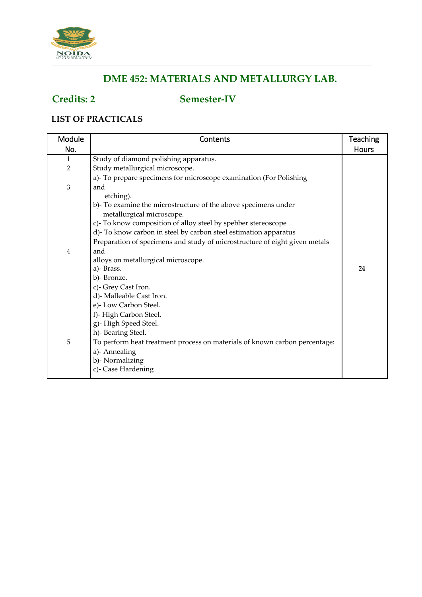

# **DME 452: MATERIALS AND METALLURGY LAB.**

## **Credits: 2 Semester-IV**

### **LIST OF PRACTICALS**

| Module         | Contents                                                                   | <b>Teaching</b> |
|----------------|----------------------------------------------------------------------------|-----------------|
| No.            |                                                                            | <b>Hours</b>    |
| 1              | Study of diamond polishing apparatus.                                      |                 |
| $\overline{2}$ | Study metallurgical microscope.                                            |                 |
|                | a)- To prepare specimens for microscope examination (For Polishing         |                 |
| 3              | and                                                                        |                 |
|                | etching).                                                                  |                 |
|                | b)- To examine the microstructure of the above specimens under             |                 |
|                | metallurgical microscope.                                                  |                 |
|                | c)- To know composition of alloy steel by spebber stereoscope              |                 |
|                | d)- To know carbon in steel by carbon steel estimation apparatus           |                 |
|                | Preparation of specimens and study of microstructure of eight given metals |                 |
| 4              | and                                                                        |                 |
|                | alloys on metallurgical microscope.                                        |                 |
|                | a)-Brass.                                                                  | 24              |
|                | b)-Bronze.                                                                 |                 |
|                | c)- Grey Cast Iron.                                                        |                 |
|                | d)- Malleable Cast Iron.                                                   |                 |
|                | e)- Low Carbon Steel.                                                      |                 |
|                | f)-High Carbon Steel.                                                      |                 |
|                | g)-High Speed Steel.                                                       |                 |
|                | h)- Bearing Steel.                                                         |                 |
| 5              | To perform heat treatment process on materials of known carbon percentage: |                 |
|                | a)- Annealing                                                              |                 |
|                | b)- Normalizing                                                            |                 |
|                | c)- Case Hardening                                                         |                 |